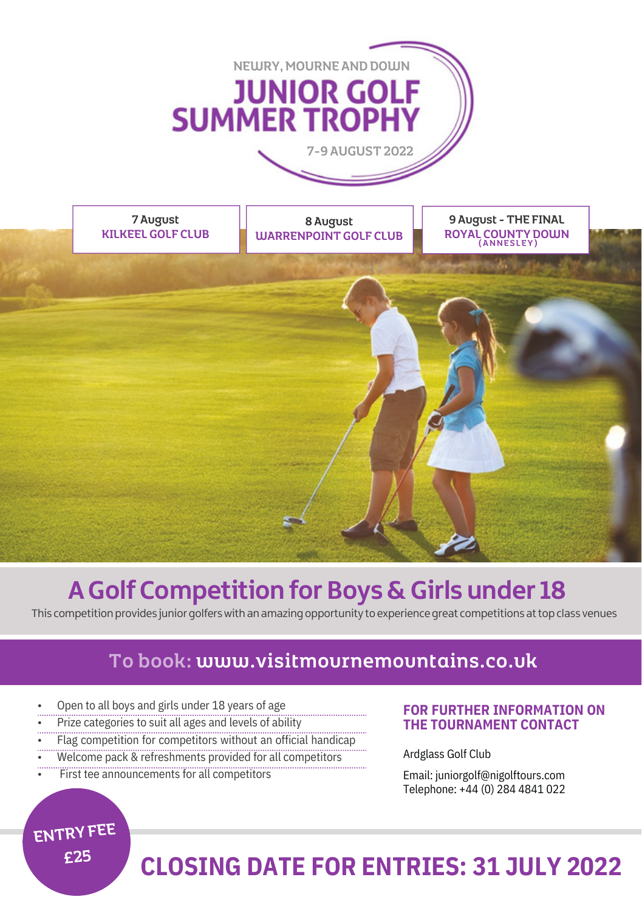



## **AGolf Competition for Boys & Girls under 18**

This competition provides junior golferswith an amazing opportunity to experience great competitions attop class venues

### To book: www.visitmournemountains.co.uk

- Open to all boys and girls under 18 years of age
- Prize categories to suit all ages and levels of ability
- Flag competition for competitors without an official handicap
- Welcome pack & refreshments provided for all competitors
- First tee announcements for all competitors

#### **FOR FURTHER INFORMATION ON THE TOURNAMENT CONTACT**

Ardglass Golf Club

Email: juniorgolf@nigolftours.com Telephone: +44 (0) 284 4841 022

## **CLOSING DATE FOR ENTRIES: 31 JULY 2022**

ENTRY FEE £25